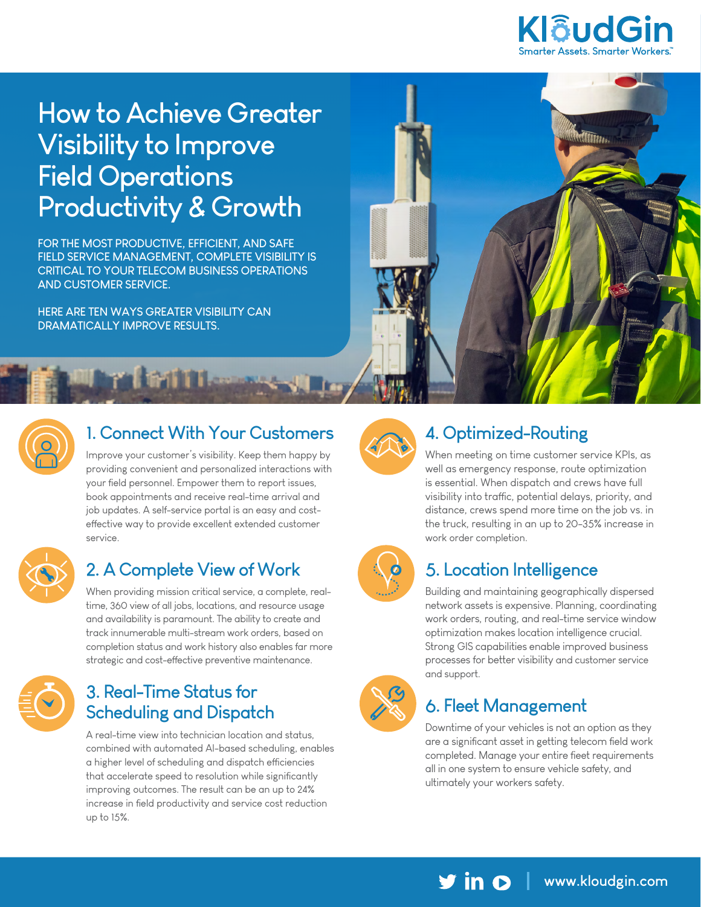

Millitter.

# **How to Achieve Greater Visibility to Improve Field Operations Productivity & Growth**

**FOR THE MOST PRODUCTIVE, EFFICIENT, AND SAFE FIELD SERVICE MANAGEMENT, COMPLETE VISIBILITY IS CRITICAL TO YOUR TELECOM BUSINESS OPERATIONS AND CUSTOMER SERVICE.** 

**Latin Pile** 

**HERE ARE TEN WAYS GREATER VISIBILITY CAN DRAMATICALLY IMPROVE RESULTS.**



#### **1. Connect With Your Customers**

Improve your customer's visibility. Keep them happy by providing convenient and personalized interactions with your field personnel. Empower them to report issues, book appointments and receive real-time arrival and job updates. A self-service portal is an easy and costeffective way to provide excellent extended customer service.



### **2. A Complete View of Work**

When providing mission critical service, a complete, realtime, 360 view of all jobs, locations, and resource usage and availability is paramount. The ability to create and track innumerable multi-stream work orders, based on completion status and work history also enables far more strategic and cost-effective preventive maintenance.



#### **3. Real-Time Status for Scheduling and Dispatch**

A real-time view into technician location and status, combined with automated AI-based scheduling, enables a higher level of scheduling and dispatch efficiencies that accelerate speed to resolution while significantly improving outcomes. The result can be an up to 24% increase in field productivity and service cost reduction up to 15%.



# **4. Optimized-Routing**

When meeting on time customer service KPIs, as well as emergency response, route optimization is essential. When dispatch and crews have full visibility into traffic, potential delays, priority, and distance, crews spend more time on the job vs. in the truck, resulting in an up to 20-35% increase in work order completion.



### **5. Location Intelligence**

Building and maintaining geographically dispersed network assets is expensive. Planning, coordinating work orders, routing, and real-time service window optimization makes location intelligence crucial. Strong GIS capabilities enable improved business processes for better visibility and customer service and support.



### **6. Fleet Management**

Downtime of your vehicles is not an option as they are a significant asset in getting telecom field work completed. Manage your entire fleet requirements all in one system to ensure vehicle safety, and ultimately your workers safety.